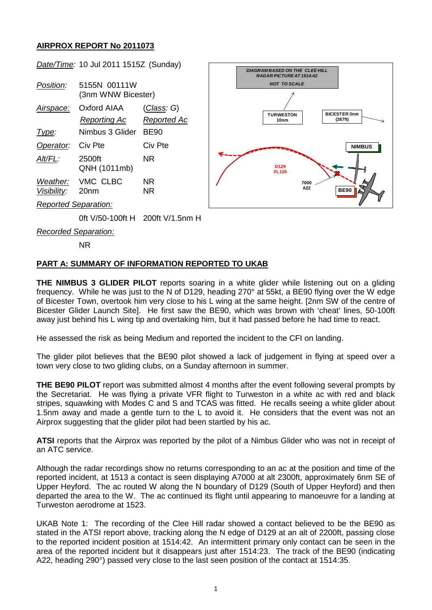## **AIRPROX REPORT No 2011073**



NR

## **PART A: SUMMARY OF INFORMATION REPORTED TO UKAB**

**THE NIMBUS 3 GLIDER PILOT** reports soaring in a white glider while listening out on a gliding frequency. While he was just to the N of D129, heading 270° at 55kt, a BE90 flying over the W edge of Bicester Town, overtook him very close to his L wing at the same height. [2nm SW of the centre of Bicester Glider Launch Site]. He first saw the BE90, which was brown with 'cheat' lines, 50-100ft away just behind his L wing tip and overtaking him, but it had passed before he had time to react.

He assessed the risk as being Medium and reported the incident to the CFI on landing.

The glider pilot believes that the BE90 pilot showed a lack of judgement in flying at speed over a town very close to two gliding clubs, on a Sunday afternoon in summer.

**THE BE90 PILOT** report was submitted almost 4 months after the event following several prompts by the Secretariat. He was flying a private VFR flight to Turweston in a white ac with red and black stripes, squawking with Modes C and S and TCAS was fitted. He recalls seeing a white glider about 1.5nm away and made a gentle turn to the L to avoid it. He considers that the event was not an Airprox suggesting that the glider pilot had been startled by his ac.

**ATSI** reports that the Airprox was reported by the pilot of a Nimbus Glider who was not in receipt of an ATC service.

Although the radar recordings show no returns corresponding to an ac at the position and time of the reported incident, at 1513 a contact is seen displaying A7000 at alt 2300ft, approximately 6nm SE of Upper Heyford. The ac routed W along the N boundary of D129 (South of Upper Heyford) and then departed the area to the W. The ac continued its flight until appearing to manoeuvre for a landing at Turweston aerodrome at 1523.

UKAB Note 1: The recording of the Clee Hill radar showed a contact believed to be the BE90 as stated in the ATSI report above, tracking along the N edge of D129 at an alt of 2200ft, passing close to the reported incident position at 1514:42. An intermittent primary only contact can be seen in the area of the reported incident but it disappears just after 1514:23. The track of the BE90 (indicating A22, heading 290°) passed very close to the last seen position of the contact at 1514:35.